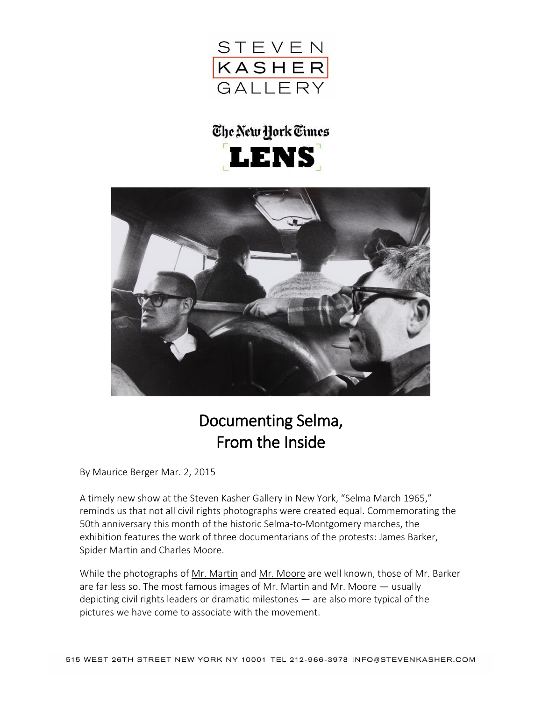

## The New York Times **LENS**



## Documenting Selma, From the Inside

By Maurice Berger Mar. 2, 2015

A timely new show at the Steven Kasher Gallery in New York, "Selma March 1965," reminds us that not all civil rights photographs were created equal. Commemorating the 50th anniversary this month of the historic Selma-to-Montgomery marches, the exhibition features the work of three documentarians of the protests: James Barker, Spider Martin and Charles Moore.

While the photographs of [Mr. Martin](http://www.nytimes.com/2015/02/16/arts/design/spider-martins-photographs-of-the-selma-march-get-a-broader-view.html?_r=0) and [Mr. Moore](http://lens.blogs.nytimes.com/2010/03/15/parting-5/) are well known, those of Mr. Barker are far less so. The most famous images of Mr. Martin and Mr. Moore — usually depicting civil rights leaders or dramatic milestones — are also more typical of the pictures we have come to associate with the movement.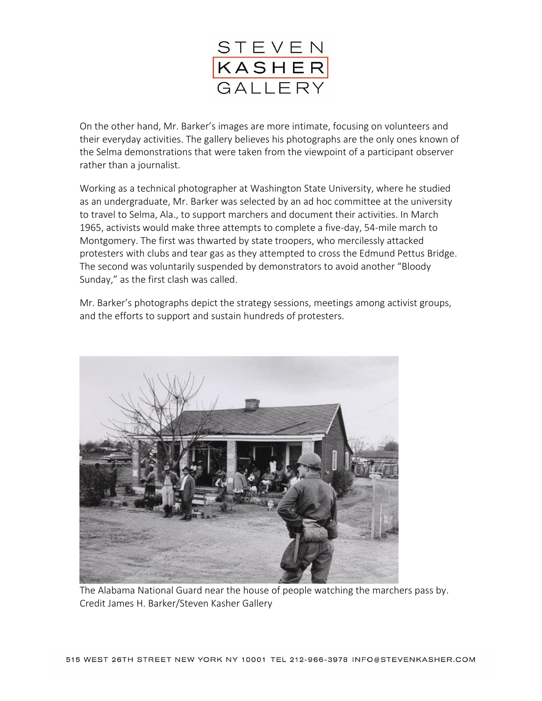

On the other hand, Mr. Barker's images are more intimate, focusing on volunteers and their everyday activities. The gallery believes his photographs are the only ones known of the Selma demonstrations that were taken from the viewpoint of a participant observer rather than a journalist.

Working as a technical photographer at Washington State University, where he studied as an undergraduate, Mr. Barker was selected by an ad hoc committee at the university to travel to Selma, Ala., to support marchers and document their activities. In March 1965, activists would make three attempts to complete a five-day, 54-mile march to Montgomery. The first was thwarted by state troopers, who mercilessly attacked protesters with clubs and tear gas as they attempted to cross the Edmund Pettus Bridge. The second was voluntarily suspended by demonstrators to avoid another "Bloody Sunday," as the first clash was called.

Mr. Barker's photographs depict the strategy sessions, meetings among activist groups, and the efforts to support and sustain hundreds of protesters.



The Alabama National Guard near the house of people watching the marchers pass by. Credit James H. Barker/Steven Kasher Gallery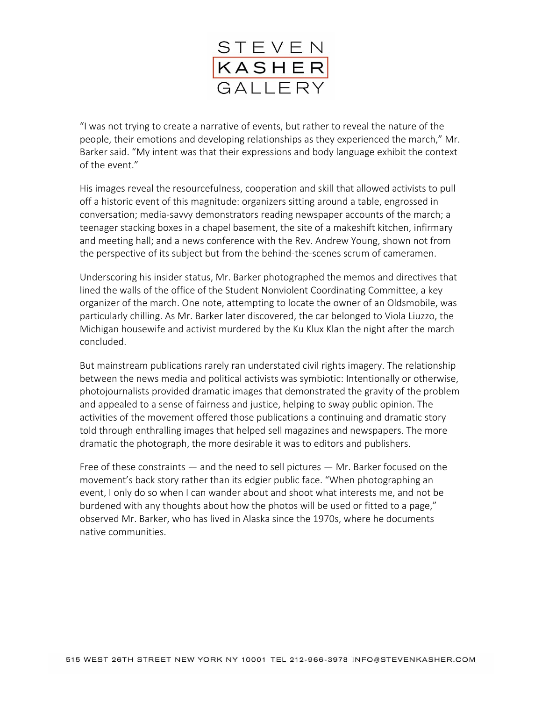

"I was not trying to create a narrative of events, but rather to reveal the nature of the people, their emotions and developing relationships as they experienced the march," Mr. Barker said. "My intent was that their expressions and body language exhibit the context of the event."

His images reveal the resourcefulness, cooperation and skill that allowed activists to pull off a historic event of this magnitude: organizers sitting around a table, engrossed in conversation; media-savvy demonstrators reading newspaper accounts of the march; a teenager stacking boxes in a chapel basement, the site of a makeshift kitchen, infirmary and meeting hall; and a news conference with the Rev. Andrew Young, shown not from the perspective of its subject but from the behind-the-scenes scrum of cameramen.

Underscoring his insider status, Mr. Barker photographed the memos and directives that lined the walls of the office of the Student Nonviolent Coordinating Committee, a key organizer of the march. One note, attempting to locate the owner of an Oldsmobile, was particularly chilling. As Mr. Barker later discovered, the car belonged to Viola Liuzzo, the Michigan housewife and activist murdered by the Ku Klux Klan the night after the march concluded.

But mainstream publications rarely ran understated civil rights imagery. The relationship between the news media and political activists was symbiotic: Intentionally or otherwise, photojournalists provided dramatic images that demonstrated the gravity of the problem and appealed to a sense of fairness and justice, helping to sway public opinion. The activities of the movement offered those publications a continuing and dramatic story told through enthralling images that helped sell magazines and newspapers. The more dramatic the photograph, the more desirable it was to editors and publishers.

Free of these constraints — and the need to sell pictures — Mr. Barker focused on the movement's back story rather than its edgier public face. "When photographing an event, I only do so when I can wander about and shoot what interests me, and not be burdened with any thoughts about how the photos will be used or fitted to a page," observed Mr. Barker, who has lived in Alaska since the 1970s, where he documents native communities.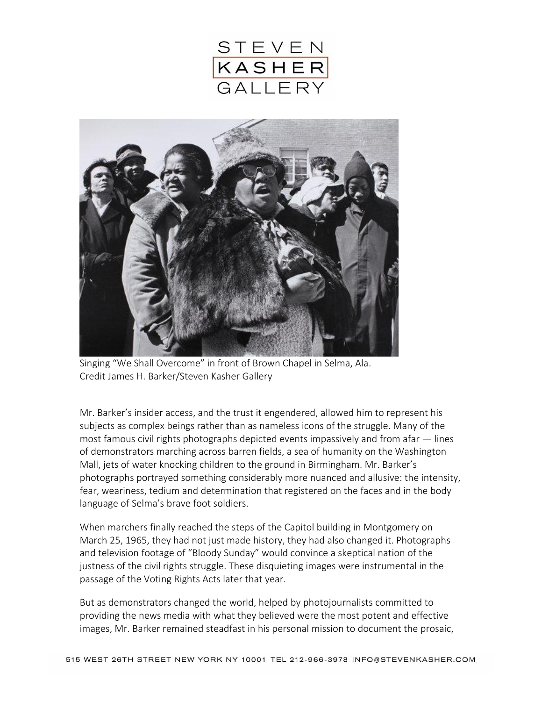



Singing "We Shall Overcome" in front of Brown Chapel in Selma, Ala. Credit James H. Barker/Steven Kasher Gallery

Mr. Barker's insider access, and the trust it engendered, allowed him to represent his subjects as complex beings rather than as nameless icons of the struggle. Many of the most famous civil rights photographs depicted events impassively and from afar  $-$  lines of demonstrators marching across barren fields, a sea of humanity on the Washington Mall, jets of water knocking children to the ground in Birmingham. Mr. Barker's photographs portrayed something considerably more nuanced and allusive: the intensity, fear, weariness, tedium and determination that registered on the faces and in the body language of Selma's brave foot soldiers.

When marchers finally reached the steps of the Capitol building in Montgomery on March 25, 1965, they had not just made history, they had also changed it. Photographs and television footage of "Bloody Sunday" would convince a skeptical nation of the justness of the civil rights struggle. These disquieting images were instrumental in the passage of the Voting Rights Acts later that year.

But as demonstrators changed the world, helped by photojournalists committed to providing the news media with what they believed were the most potent and effective images, Mr. Barker remained steadfast in his personal mission to document the prosaic,